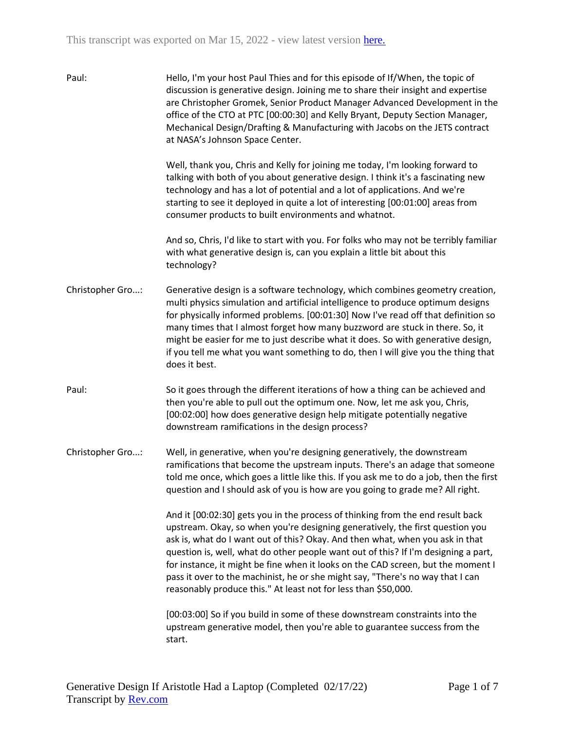| Paul:            | Hello, I'm your host Paul Thies and for this episode of If/When, the topic of<br>discussion is generative design. Joining me to share their insight and expertise<br>are Christopher Gromek, Senior Product Manager Advanced Development in the<br>office of the CTO at PTC [00:00:30] and Kelly Bryant, Deputy Section Manager,<br>Mechanical Design/Drafting & Manufacturing with Jacobs on the JETS contract<br>at NASA's Johnson Space Center.                                                                                                                             |
|------------------|--------------------------------------------------------------------------------------------------------------------------------------------------------------------------------------------------------------------------------------------------------------------------------------------------------------------------------------------------------------------------------------------------------------------------------------------------------------------------------------------------------------------------------------------------------------------------------|
|                  | Well, thank you, Chris and Kelly for joining me today, I'm looking forward to<br>talking with both of you about generative design. I think it's a fascinating new<br>technology and has a lot of potential and a lot of applications. And we're<br>starting to see it deployed in quite a lot of interesting [00:01:00] areas from<br>consumer products to built environments and whatnot.                                                                                                                                                                                     |
|                  | And so, Chris, I'd like to start with you. For folks who may not be terribly familiar<br>with what generative design is, can you explain a little bit about this<br>technology?                                                                                                                                                                                                                                                                                                                                                                                                |
| Christopher Gro: | Generative design is a software technology, which combines geometry creation,<br>multi physics simulation and artificial intelligence to produce optimum designs<br>for physically informed problems. [00:01:30] Now I've read off that definition so<br>many times that I almost forget how many buzzword are stuck in there. So, it<br>might be easier for me to just describe what it does. So with generative design,<br>if you tell me what you want something to do, then I will give you the thing that<br>does it best.                                                |
| Paul:            | So it goes through the different iterations of how a thing can be achieved and<br>then you're able to pull out the optimum one. Now, let me ask you, Chris,<br>[00:02:00] how does generative design help mitigate potentially negative<br>downstream ramifications in the design process?                                                                                                                                                                                                                                                                                     |
| Christopher Gro: | Well, in generative, when you're designing generatively, the downstream<br>ramifications that become the upstream inputs. There's an adage that someone<br>told me once, which goes a little like this. If you ask me to do a job, then the first<br>question and I should ask of you is how are you going to grade me? All right.                                                                                                                                                                                                                                             |
|                  | And it [00:02:30] gets you in the process of thinking from the end result back<br>upstream. Okay, so when you're designing generatively, the first question you<br>ask is, what do I want out of this? Okay. And then what, when you ask in that<br>question is, well, what do other people want out of this? If I'm designing a part,<br>for instance, it might be fine when it looks on the CAD screen, but the moment I<br>pass it over to the machinist, he or she might say, "There's no way that I can<br>reasonably produce this." At least not for less than \$50,000. |
|                  | [00:03:00] So if you build in some of these downstream constraints into the<br>upstream generative model, then you're able to guarantee success from the<br>start.                                                                                                                                                                                                                                                                                                                                                                                                             |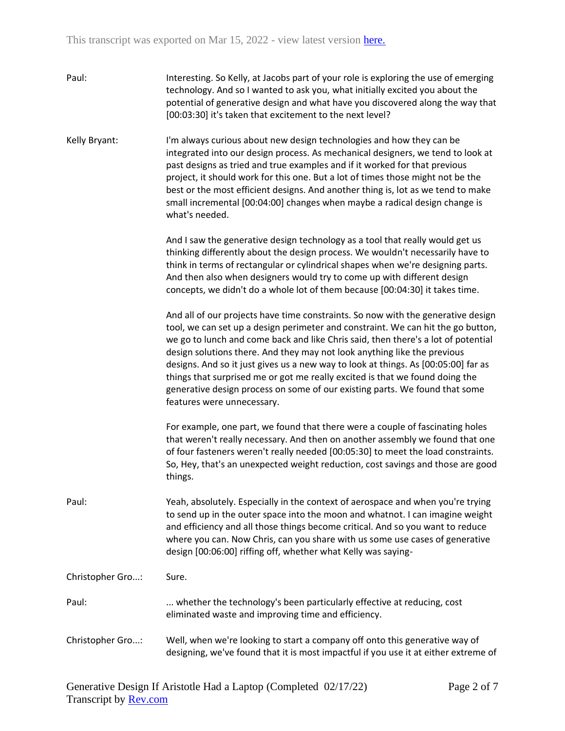| Paul:            | Interesting. So Kelly, at Jacobs part of your role is exploring the use of emerging<br>technology. And so I wanted to ask you, what initially excited you about the<br>potential of generative design and what have you discovered along the way that<br>[00:03:30] it's taken that excitement to the next level?                                                                                                                                                                                                                                                                                                        |
|------------------|--------------------------------------------------------------------------------------------------------------------------------------------------------------------------------------------------------------------------------------------------------------------------------------------------------------------------------------------------------------------------------------------------------------------------------------------------------------------------------------------------------------------------------------------------------------------------------------------------------------------------|
| Kelly Bryant:    | I'm always curious about new design technologies and how they can be<br>integrated into our design process. As mechanical designers, we tend to look at<br>past designs as tried and true examples and if it worked for that previous<br>project, it should work for this one. But a lot of times those might not be the<br>best or the most efficient designs. And another thing is, lot as we tend to make<br>small incremental [00:04:00] changes when maybe a radical design change is<br>what's needed.                                                                                                             |
|                  | And I saw the generative design technology as a tool that really would get us<br>thinking differently about the design process. We wouldn't necessarily have to<br>think in terms of rectangular or cylindrical shapes when we're designing parts.<br>And then also when designers would try to come up with different design<br>concepts, we didn't do a whole lot of them because [00:04:30] it takes time.                                                                                                                                                                                                            |
|                  | And all of our projects have time constraints. So now with the generative design<br>tool, we can set up a design perimeter and constraint. We can hit the go button,<br>we go to lunch and come back and like Chris said, then there's a lot of potential<br>design solutions there. And they may not look anything like the previous<br>designs. And so it just gives us a new way to look at things. As [00:05:00] far as<br>things that surprised me or got me really excited is that we found doing the<br>generative design process on some of our existing parts. We found that some<br>features were unnecessary. |
|                  | For example, one part, we found that there were a couple of fascinating holes<br>that weren't really necessary. And then on another assembly we found that one<br>of four fasteners weren't really needed [00:05:30] to meet the load constraints.<br>So, Hey, that's an unexpected weight reduction, cost savings and those are good<br>things.                                                                                                                                                                                                                                                                         |
| Paul:            | Yeah, absolutely. Especially in the context of aerospace and when you're trying<br>to send up in the outer space into the moon and whatnot. I can imagine weight<br>and efficiency and all those things become critical. And so you want to reduce<br>where you can. Now Chris, can you share with us some use cases of generative<br>design [00:06:00] riffing off, whether what Kelly was saying-                                                                                                                                                                                                                      |
| Christopher Gro: | Sure.                                                                                                                                                                                                                                                                                                                                                                                                                                                                                                                                                                                                                    |
| Paul:            | whether the technology's been particularly effective at reducing, cost<br>eliminated waste and improving time and efficiency.                                                                                                                                                                                                                                                                                                                                                                                                                                                                                            |
| Christopher Gro: | Well, when we're looking to start a company off onto this generative way of<br>designing, we've found that it is most impactful if you use it at either extreme of                                                                                                                                                                                                                                                                                                                                                                                                                                                       |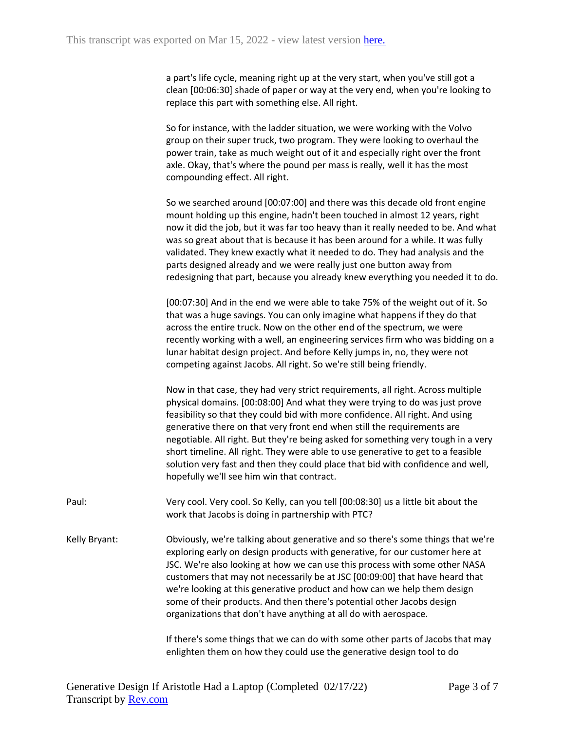a part's life cycle, meaning right up at the very start, when you've still got a clean [00:06:30] shade of paper or way at the very end, when you're looking to replace this part with something else. All right.

So for instance, with the ladder situation, we were working with the Volvo group on their super truck, two program. They were looking to overhaul the power train, take as much weight out of it and especially right over the front axle. Okay, that's where the pound per mass is really, well it has the most compounding effect. All right.

So we searched around [00:07:00] and there was this decade old front engine mount holding up this engine, hadn't been touched in almost 12 years, right now it did the job, but it was far too heavy than it really needed to be. And what was so great about that is because it has been around for a while. It was fully validated. They knew exactly what it needed to do. They had analysis and the parts designed already and we were really just one button away from redesigning that part, because you already knew everything you needed it to do.

[00:07:30] And in the end we were able to take 75% of the weight out of it. So that was a huge savings. You can only imagine what happens if they do that across the entire truck. Now on the other end of the spectrum, we were recently working with a well, an engineering services firm who was bidding on a lunar habitat design project. And before Kelly jumps in, no, they were not competing against Jacobs. All right. So we're still being friendly.

Now in that case, they had very strict requirements, all right. Across multiple physical domains. [00:08:00] And what they were trying to do was just prove feasibility so that they could bid with more confidence. All right. And using generative there on that very front end when still the requirements are negotiable. All right. But they're being asked for something very tough in a very short timeline. All right. They were able to use generative to get to a feasible solution very fast and then they could place that bid with confidence and well, hopefully we'll see him win that contract.

Paul: Very cool. Very cool. So Kelly, can you tell [00:08:30] us a little bit about the work that Jacobs is doing in partnership with PTC?

Kelly Bryant: Obviously, we're talking about generative and so there's some things that we're exploring early on design products with generative, for our customer here at JSC. We're also looking at how we can use this process with some other NASA customers that may not necessarily be at JSC [00:09:00] that have heard that we're looking at this generative product and how can we help them design some of their products. And then there's potential other Jacobs design organizations that don't have anything at all do with aerospace.

> If there's some things that we can do with some other parts of Jacobs that may enlighten them on how they could use the generative design tool to do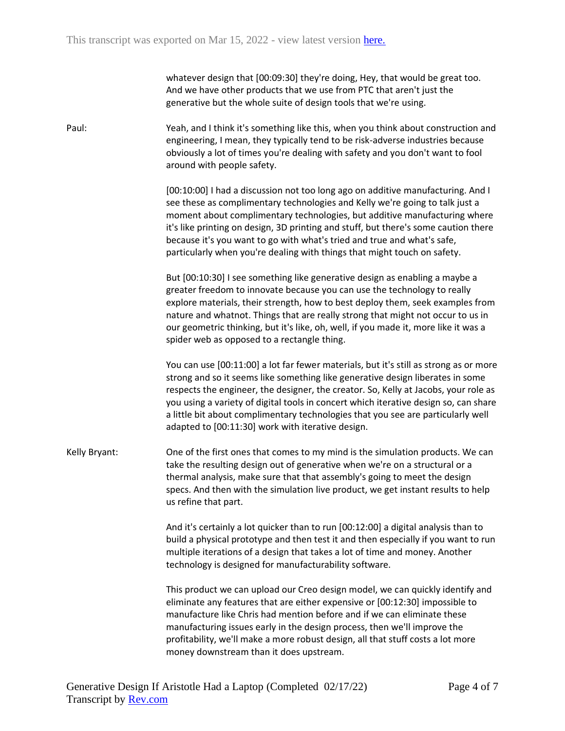whatever design that [00:09:30] they're doing, Hey, that would be great too. And we have other products that we use from PTC that aren't just the generative but the whole suite of design tools that we're using.

Paul: Yeah, and I think it's something like this, when you think about construction and engineering, I mean, they typically tend to be risk-adverse industries because obviously a lot of times you're dealing with safety and you don't want to fool around with people safety.

> [00:10:00] I had a discussion not too long ago on additive manufacturing. And I see these as complimentary technologies and Kelly we're going to talk just a moment about complimentary technologies, but additive manufacturing where it's like printing on design, 3D printing and stuff, but there's some caution there because it's you want to go with what's tried and true and what's safe, particularly when you're dealing with things that might touch on safety.

> But [00:10:30] I see something like generative design as enabling a maybe a greater freedom to innovate because you can use the technology to really explore materials, their strength, how to best deploy them, seek examples from nature and whatnot. Things that are really strong that might not occur to us in our geometric thinking, but it's like, oh, well, if you made it, more like it was a spider web as opposed to a rectangle thing.

> You can use [00:11:00] a lot far fewer materials, but it's still as strong as or more strong and so it seems like something like generative design liberates in some respects the engineer, the designer, the creator. So, Kelly at Jacobs, your role as you using a variety of digital tools in concert which iterative design so, can share a little bit about complimentary technologies that you see are particularly well adapted to [00:11:30] work with iterative design.

Kelly Bryant: One of the first ones that comes to my mind is the simulation products. We can take the resulting design out of generative when we're on a structural or a thermal analysis, make sure that that assembly's going to meet the design specs. And then with the simulation live product, we get instant results to help us refine that part.

> And it's certainly a lot quicker than to run [00:12:00] a digital analysis than to build a physical prototype and then test it and then especially if you want to run multiple iterations of a design that takes a lot of time and money. Another technology is designed for manufacturability software.

This product we can upload our Creo design model, we can quickly identify and eliminate any features that are either expensive or [00:12:30] impossible to manufacture like Chris had mention before and if we can eliminate these manufacturing issues early in the design process, then we'll improve the profitability, we'll make a more robust design, all that stuff costs a lot more money downstream than it does upstream.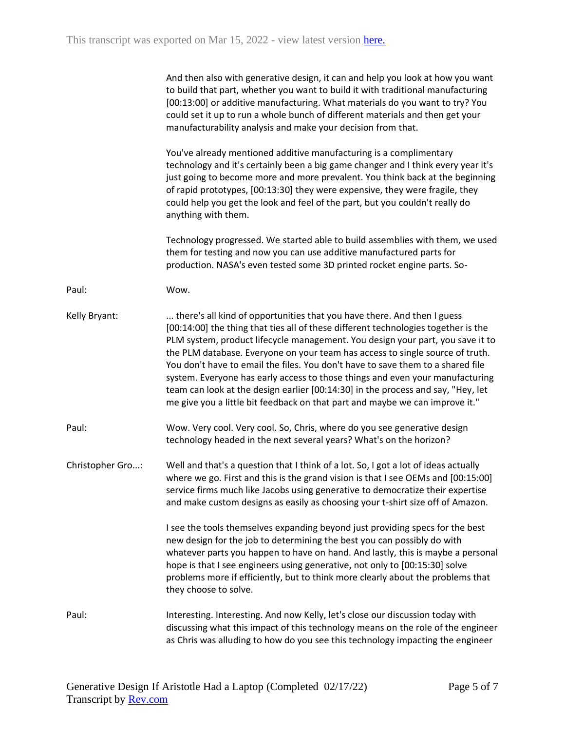|                  | And then also with generative design, it can and help you look at how you want<br>to build that part, whether you want to build it with traditional manufacturing<br>[00:13:00] or additive manufacturing. What materials do you want to try? You<br>could set it up to run a whole bunch of different materials and then get your<br>manufacturability analysis and make your decision from that.                                                                                                                                                                                                                                                                       |
|------------------|--------------------------------------------------------------------------------------------------------------------------------------------------------------------------------------------------------------------------------------------------------------------------------------------------------------------------------------------------------------------------------------------------------------------------------------------------------------------------------------------------------------------------------------------------------------------------------------------------------------------------------------------------------------------------|
|                  | You've already mentioned additive manufacturing is a complimentary<br>technology and it's certainly been a big game changer and I think every year it's<br>just going to become more and more prevalent. You think back at the beginning<br>of rapid prototypes, [00:13:30] they were expensive, they were fragile, they<br>could help you get the look and feel of the part, but you couldn't really do<br>anything with them.                                                                                                                                                                                                                                          |
|                  | Technology progressed. We started able to build assemblies with them, we used<br>them for testing and now you can use additive manufactured parts for<br>production. NASA's even tested some 3D printed rocket engine parts. So-                                                                                                                                                                                                                                                                                                                                                                                                                                         |
| Paul:            | Wow.                                                                                                                                                                                                                                                                                                                                                                                                                                                                                                                                                                                                                                                                     |
| Kelly Bryant:    | there's all kind of opportunities that you have there. And then I guess<br>[00:14:00] the thing that ties all of these different technologies together is the<br>PLM system, product lifecycle management. You design your part, you save it to<br>the PLM database. Everyone on your team has access to single source of truth.<br>You don't have to email the files. You don't have to save them to a shared file<br>system. Everyone has early access to those things and even your manufacturing<br>team can look at the design earlier [00:14:30] in the process and say, "Hey, let<br>me give you a little bit feedback on that part and maybe we can improve it." |
| Paul:            | Wow. Very cool. Very cool. So, Chris, where do you see generative design<br>technology headed in the next several years? What's on the horizon?                                                                                                                                                                                                                                                                                                                                                                                                                                                                                                                          |
| Christopher Gro: | Well and that's a question that I think of a lot. So, I got a lot of ideas actually<br>where we go. First and this is the grand vision is that I see OEMs and [00:15:00]<br>service firms much like Jacobs using generative to democratize their expertise<br>and make custom designs as easily as choosing your t-shirt size off of Amazon.                                                                                                                                                                                                                                                                                                                             |
|                  | I see the tools themselves expanding beyond just providing specs for the best<br>new design for the job to determining the best you can possibly do with<br>whatever parts you happen to have on hand. And lastly, this is maybe a personal<br>hope is that I see engineers using generative, not only to [00:15:30] solve<br>problems more if efficiently, but to think more clearly about the problems that<br>they choose to solve.                                                                                                                                                                                                                                   |
| Paul:            | Interesting. Interesting. And now Kelly, let's close our discussion today with<br>discussing what this impact of this technology means on the role of the engineer<br>as Chris was alluding to how do you see this technology impacting the engineer                                                                                                                                                                                                                                                                                                                                                                                                                     |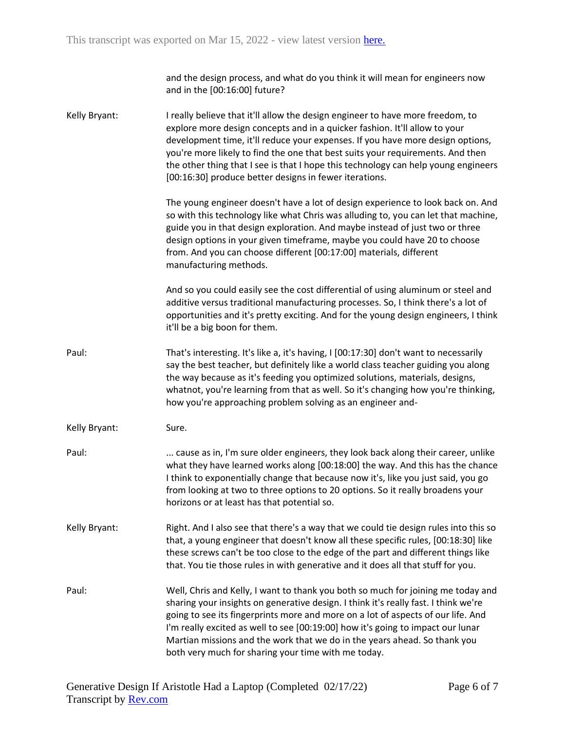and the design process, and what do you think it will mean for engineers now and in the [00:16:00] future?

Kelly Bryant: I really believe that it'll allow the design engineer to have more freedom, to explore more design concepts and in a quicker fashion. It'll allow to your development time, it'll reduce your expenses. If you have more design options, you're more likely to find the one that best suits your requirements. And then the other thing that I see is that I hope this technology can help young engineers [00:16:30] produce better designs in fewer iterations.

> The young engineer doesn't have a lot of design experience to look back on. And so with this technology like what Chris was alluding to, you can let that machine, guide you in that design exploration. And maybe instead of just two or three design options in your given timeframe, maybe you could have 20 to choose from. And you can choose different [00:17:00] materials, different manufacturing methods.

> And so you could easily see the cost differential of using aluminum or steel and additive versus traditional manufacturing processes. So, I think there's a lot of opportunities and it's pretty exciting. And for the young design engineers, I think it'll be a big boon for them.

- Paul: That's interesting. It's like a, it's having, I [00:17:30] don't want to necessarily say the best teacher, but definitely like a world class teacher guiding you along the way because as it's feeding you optimized solutions, materials, designs, whatnot, you're learning from that as well. So it's changing how you're thinking, how you're approaching problem solving as an engineer and-
- Kelly Bryant: Sure.
- Paul: ... cause as in, I'm sure older engineers, they look back along their career, unlike what they have learned works along [00:18:00] the way. And this has the chance I think to exponentially change that because now it's, like you just said, you go from looking at two to three options to 20 options. So it really broadens your horizons or at least has that potential so.
- Kelly Bryant: Right. And I also see that there's a way that we could tie design rules into this so that, a young engineer that doesn't know all these specific rules, [00:18:30] like these screws can't be too close to the edge of the part and different things like that. You tie those rules in with generative and it does all that stuff for you.
- Paul: Well, Chris and Kelly, I want to thank you both so much for joining me today and sharing your insights on generative design. I think it's really fast. I think we're going to see its fingerprints more and more on a lot of aspects of our life. And I'm really excited as well to see [00:19:00] how it's going to impact our lunar Martian missions and the work that we do in the years ahead. So thank you both very much for sharing your time with me today.